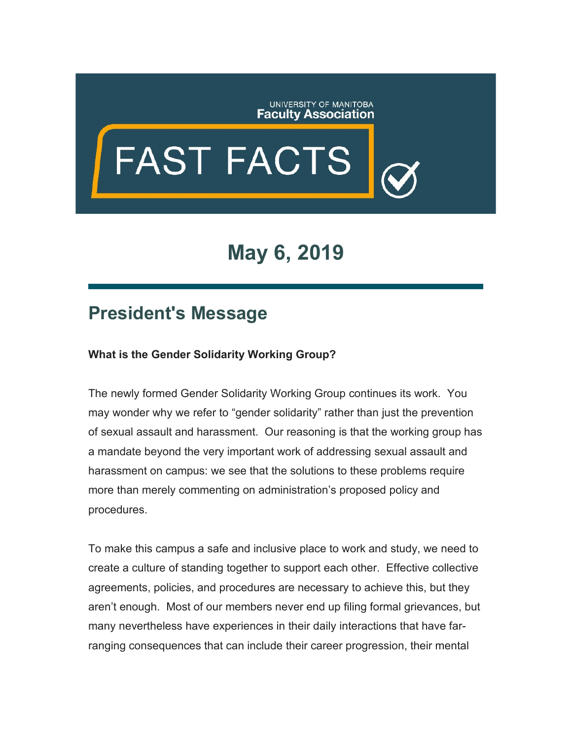

## **FAST FACTS**

## **May 6, 2019**

## **President's Message**

## **What is the Gender Solidarity Working Group?**

The newly formed Gender Solidarity Working Group continues its work. You may wonder why we refer to "gender solidarity" rather than just the prevention of sexual assault and harassment. Our reasoning is that the working group has a mandate beyond the very important work of addressing sexual assault and harassment on campus: we see that the solutions to these problems require more than merely commenting on administration's proposed policy and procedures.

To make this campus a safe and inclusive place to work and study, we need to create a culture of standing together to support each other. Effective collective agreements, policies, and procedures are necessary to achieve this, but they aren't enough. Most of our members never end up filing formal grievances, but many nevertheless have experiences in their daily interactions that have farranging consequences that can include their career progression, their mental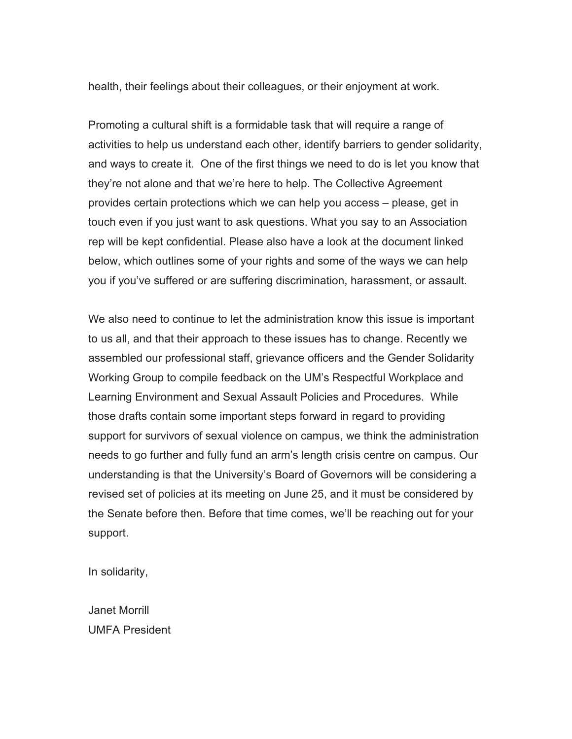health, their feelings about their colleagues, or their enjoyment at work.

Promoting a cultural shift is a formidable task that will require a range of activities to help us understand each other, identify barriers to gender solidarity, and ways to create it. One of the first things we need to do is let you know that they're not alone and that we're here to help. The Collective Agreement provides certain protections which we can help you access – please, get in touch even if you just want to ask questions. What you say to an Association rep will be kept confidential. Please also have a look at the document linked below, which outlines some of your rights and some of the ways we can help you if you've suffered or are suffering discrimination, harassment, or assault.

We also need to continue to let the administration know this issue is important to us all, and that their approach to these issues has to change. Recently we assembled our professional staff, grievance officers and the Gender Solidarity Working Group to compile feedback on the UM's Respectful Workplace and Learning Environment and Sexual Assault Policies and Procedures. While those drafts contain some important steps forward in regard to providing support for survivors of sexual violence on campus, we think the administration needs to go further and fully fund an arm's length crisis centre on campus. Our understanding is that the University's Board of Governors will be considering a revised set of policies at its meeting on June 25, and it must be considered by the Senate before then. Before that time comes, we'll be reaching out for your support.

In solidarity,

Janet Morrill UMFA President